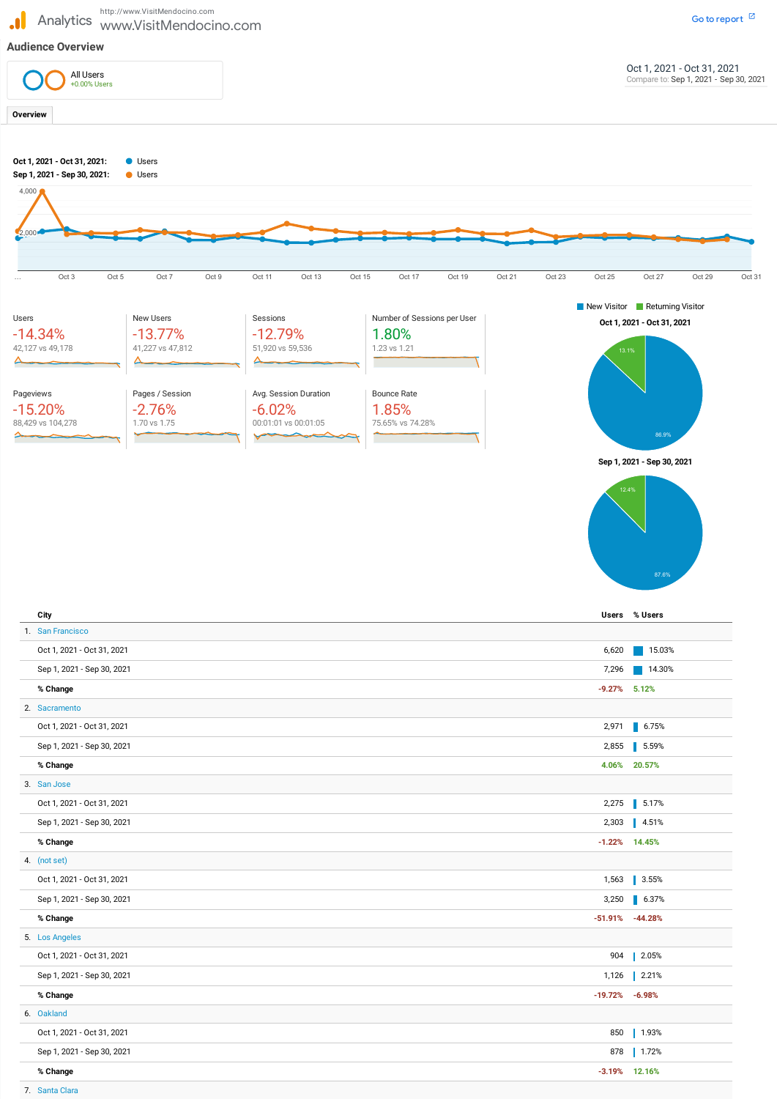Analytics www.VisitMendocino.com http://www.VisitMendocino.com

Sep 1, 2021 - Sep 30, 2021

| % Change                            | 4.06% 20.57%         |
|-------------------------------------|----------------------|
| 3. San Jose                         |                      |
| Oct 1, 2021 - Oct 31, 2021          | 2,275 5.17%          |
| Sep 1, 2021 - Sep 30, 2021<br>2,303 | $\blacksquare$ 4.51% |
| % Change                            | $-1.22\%$ 14.45%     |
| 4. (not set)                        |                      |
| 1,563<br>Oct 1, 2021 - Oct 31, 2021 | $\vert$ 3.55%        |
| Sep 1, 2021 - Sep 30, 2021          | 3,250 6.37%          |
| % Change<br>$-51.91%$               | $-44.28%$            |
| 5. Los Angeles                      |                      |
| 904<br>Oct 1, 2021 - Oct 31, 2021   | $2.05%$              |
| Sep 1, 2021 - Sep 30, 2021          | $1,126$   2.21%      |
| % Change                            | $-19.72\% -6.98\%$   |
| 6. Oakland                          |                      |
| 850<br>Oct 1, 2021 - Oct 31, 2021   | $1.93%$              |
| Sep 1, 2021 - Sep 30, 2021          | 878   1.72%          |
| % Change                            | $-3.19\%$ 12.16%     |
| 7. Santa Clara                      |                      |

2,855 5.59%



.I